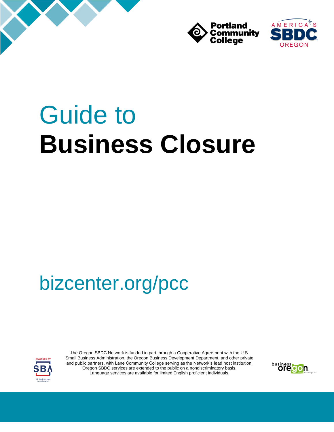





# Guide to **Business Closure**

## bizcenter.org/pcc



The Oregon SBDC Network is funded in part through a Cooperative Agreement with the U.S. Small Business Administration, the Oregon Business Development Department, and other private and public partners, with Lane Community College serving as the Network's lead host institution. Oregon SBDC services are extended to the public on a nondiscriminatory basis. Language services are available for limited English proficient individuals.

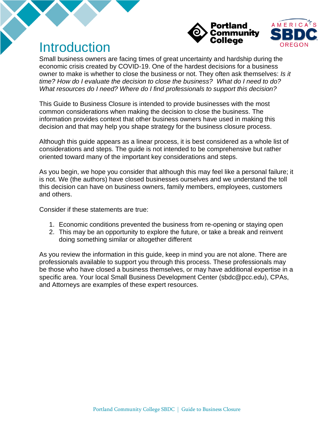

### Introduction

Small business owners are facing times of great uncertainty and hardship during the economic crisis created by COVID-19. One of the hardest decisions for a business owner to make is whether to close the business or not. They often ask themselves: *Is it time? How do I evaluate the decision to close the business? What do I need to do? What resources do I need? Where do I find professionals to support this decision?* 

This Guide to Business Closure is intended to provide businesses with the most common considerations when making the decision to close the business. The information provides context that other business owners have used in making this decision and that may help you shape strategy for the business closure process.

Although this guide appears as a linear process, it is best considered as a whole list of considerations and steps. The guide is not intended to be comprehensive but rather oriented toward many of the important key considerations and steps.

As you begin, we hope you consider that although this may feel like a personal failure; it is not. We (the authors) have closed businesses ourselves and we understand the toll this decision can have on business owners, family members, employees, customers and others.

Consider if these statements are true:

- 1. Economic conditions prevented the business from re-opening or staying open
- 2. This may be an opportunity to explore the future, or take a break and reinvent doing something similar or altogether different

As you review the information in this guide, keep in mind you are not alone. There are professionals available to support you through this process. These professionals may be those who have closed a business themselves, or may have additional expertise in a specific area. Your local Small Business Development Center (sbdc@pcc.edu), CPAs, and Attorneys are examples of these expert resources.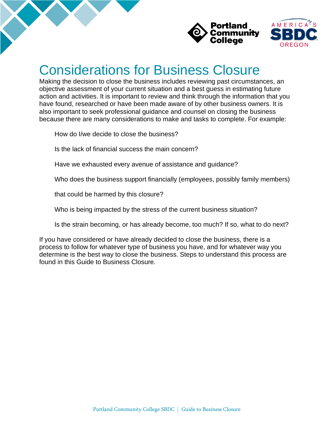



### Considerations for Business Closure

Making the decision to close the business includes reviewing past circumstances, an objective assessment of your current situation and a best guess in estimating future action and activities. It is important to review and think through the information that you have found, researched or have been made aware of by other business owners. It is also important to seek professional guidance and counsel on closing the business because there are many considerations to make and tasks to complete. For example:

How do I/we decide to close the business?

Is the lack of financial success the main concern?

Have we exhausted every avenue of assistance and guidance?

Who does the business support financially (employees, possibly family members)

that could be harmed by this closure?

Who is being impacted by the stress of the current business situation?

Is the strain becoming, or has already become, too much? If so, what to do next?

If you have considered or have already decided to close the business, there is a process to follow for whatever type of business you have, and for whatever way you determine is the best way to close the business. Steps to understand this process are found in this Guide to Business Closure.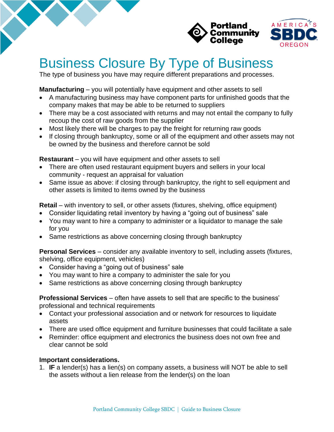

### Business Closure By Type of Business

The type of business you have may require different preparations and processes.

**Manufacturing** – you will potentially have equipment and other assets to sell

- A manufacturing business may have component parts for unfinished goods that the company makes that may be able to be returned to suppliers
- There may be a cost associated with returns and may not entail the company to fully recoup the cost of raw goods from the supplier
- Most likely there will be charges to pay the freight for returning raw goods
- If closing through bankruptcy, some or all of the equipment and other assets may not be owned by the business and therefore cannot be sold

**Restaurant** – you will have equipment and other assets to sell

- There are often used restaurant equipment buyers and sellers in your local community - request an appraisal for valuation
- Same issue as above: if closing through bankruptcy, the right to sell equipment and other assets is limited to items owned by the business

**Retail** – with inventory to sell, or other assets (fixtures, shelving, office equipment)

- Consider liquidating retail inventory by having a "going out of business" sale
- You may want to hire a company to administer or a liquidator to manage the sale for you
- Same restrictions as above concerning closing through bankruptcy

**Personal Services** – consider any available inventory to sell, including assets (fixtures, shelving, office equipment, vehicles)

- Consider having a "going out of business" sale
- You may want to hire a company to administer the sale for you
- Same restrictions as above concerning closing through bankruptcy

**Professional Services** – often have assets to sell that are specific to the business' professional and technical requirements

- Contact your professional association and or network for resources to liquidate assets
- There are used office equipment and furniture businesses that could facilitate a sale
- Reminder: office equipment and electronics the business does not own free and clear cannot be sold

#### **Important considerations.**

1. **IF** a lender(s) has a lien(s) on company assets, a business will NOT be able to sell the assets without a lien release from the lender(s) on the loan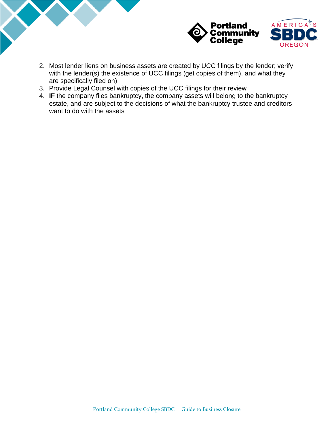

- 2. Most lender liens on business assets are created by UCC filings by the lender; verify with the lender(s) the existence of UCC filings (get copies of them), and what they are specifically filed on)
- 3. Provide Legal Counsel with copies of the UCC filings for their review
- 4. **IF** the company files bankruptcy, the company assets will belong to the bankruptcy estate, and are subject to the decisions of what the bankruptcy trustee and creditors want to do with the assets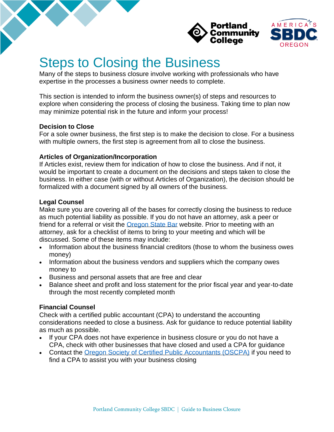



### Steps to Closing the Business

Many of the steps to business closure involve working with professionals who have expertise in the processes a business owner needs to complete.

This section is intended to inform the business owner(s) of steps and resources to explore when considering the process of closing the business. Taking time to plan now may minimize potential risk in the future and inform your process!

#### **Decision to Close**

For a sole owner business, the first step is to make the decision to close. For a business with multiple owners, the first step is agreement from all to close the business.

#### **Articles of Organization/Incorporation**

If Articles exist, review them for indication of how to close the business. And if not, it would be important to create a document on the decisions and steps taken to close the business. In either case (with or without Articles of Organization), the decision should be formalized with a document signed by all owners of the business.

#### **Legal Counsel**

Make sure you are covering all of the bases for correctly closing the business to reduce as much potential liability as possible. If you do not have an attorney, ask a peer or friend for a referral or visit the **Oregon State Bar** website. Prior to meeting with an attorney, ask for a checklist of items to bring to your meeting and which will be discussed. Some of these items may include:

- Information about the business financial creditors (those to whom the business owes money)
- Information about the business vendors and suppliers which the company owes money to
- Business and personal assets that are free and clear
- Balance sheet and profit and loss statement for the prior fiscal year and year-to-date through the most recently completed month

#### **Financial Counsel**

Check with a certified public accountant (CPA) to understand the accounting considerations needed to close a business. Ask for guidance to reduce potential liability as much as possible.

- If your CPA does not have experience in business closure or you do not have a CPA, check with other businesses that have closed and used a CPA for guidance
- Contact the [Oregon Society of Certified Public Accountants \(OSCPA\)](https://www.orcpa.org/) if you need to find a CPA to assist you with your business closing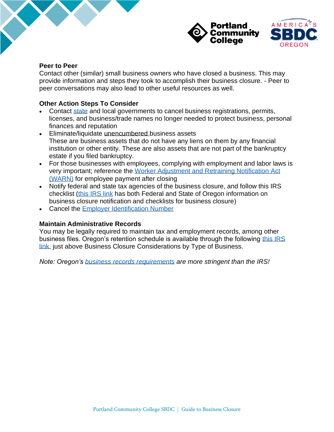

#### **Peer to Peer**

Contact other (similar) small business owners who have closed a business. This may provide information and steps they took to accomplish their business closure. - Peer to peer conversations may also lead to other useful resources as well.

#### **Other Action Steps To Consider**

- Contact [state](https://sos.oregon.gov/Pages/index.aspx) and local governments to cancel business registrations, permits, licenses, and business/trade names no longer needed to protect business, personal finances and reputation
- Eliminate/liquidate unencumbered business assets These are business assets that do not have any liens on them by any financial institution or other entity. These are also assets that are not part of the bankruptcy estate if you filed bankruptcy.
- For those businesses with employees, complying with employment and labor laws is very important; reference the [Worker Adjustment and Retraining Notification Act](https://www.doleta.gov/programs/factsht/WARN_Fact_Sheet_updated_03.06.2019.pdf)  [\(WARN\)](https://www.doleta.gov/programs/factsht/WARN_Fact_Sheet_updated_03.06.2019.pdf) for employee payment after closing
- Notify federal and state tax agencies of the business closure, and follow this IRS checklist (this [IRS link](https://www.nolo.com/legal-encyclopedia/free-books/small-business-book/chapter12-10.html#:~:text=File%20your%20return%20by%20April,this%20is%20your%20final%20return) has both Federal and State of Oregon information on business closure notification and checklists for business closure)
- Cancel the [Employer Identification Number](https://www.nolo.com/legal-encyclopedia/free-books/small-business-book/chapter12-10.html#:~:text=File%20your%20return%20by%20April,this%20is%20your%20final%20return)

#### **Maintain Administrative Records**

You may be legally required to maintain tax and employment records, among other business files. Oregon's retention schedule is available through the following this IRS [link,](https://www.irs.gov/businesses/small-businesses-self-employed/recordkeeping) just above Business Closure Considerations by Type of Business.

*Note: Oregon's [business records requirements](https://www.irs.gov/businesses/small-businesses-self-employed/recordkeeping) are more stringent than the IRS!*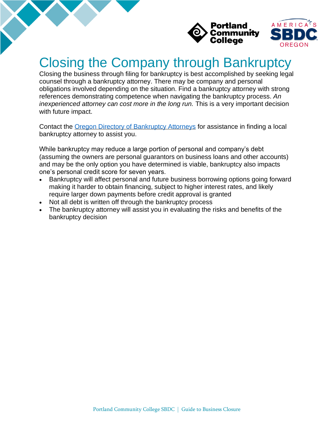

### Closing the Company through Bankruptcy

Closing the business through filing for bankruptcy is best accomplished by seeking legal counsel through a bankruptcy attorney. There may be company and personal obligations involved depending on the situation. Find a bankruptcy attorney with strong references demonstrating competence when navigating the bankruptcy process. *An inexperienced attorney can cost more in the long run.* This is a very important decision with future impact.

Contact the [Oregon Directory of Bankruptcy Attorneys](http://www.oregonbankruptcy.com/attorneys.html) for assistance in finding a local bankruptcy attorney to assist you.

While bankruptcy may reduce a large portion of personal and company's debt (assuming the owners are personal guarantors on business loans and other accounts) and may be the only option you have determined is viable, bankruptcy also impacts one's personal credit score for seven years.

- Bankruptcy will affect personal and future business borrowing options going forward making it harder to obtain financing, subject to higher interest rates, and likely require larger down payments before credit approval is granted
- Not all debt is written off through the bankruptcy process
- The bankruptcy attorney will assist you in evaluating the risks and benefits of the bankruptcy decision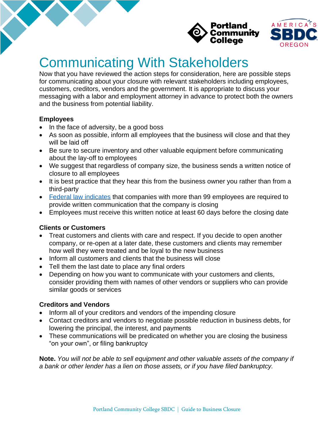



### Communicating With Stakeholders

Now that you have reviewed the action steps for consideration, here are possible steps for communicating about your closure with relevant stakeholders including employees, customers, creditors, vendors and the government. It is appropriate to discuss your messaging with a labor and employment attorney in advance to protect both the owners and the business from potential liability.

#### **Employees**

- In the face of adversity, be a good boss
- As soon as possible, inform all employees that the business will close and that they will be laid off
- Be sure to secure inventory and other valuable equipment before communicating about the lay-off to employees
- We suggest that regardless of company size, the business sends a written notice of closure to all employees
- It is best practice that they hear this from the business owner you rather than from a third-party
- [Federal law indicates](https://www.doleta.gov/programs/factsht/WARN_Fact_Sheet_updated_03.06.2019.pdf) that companies with more than 99 employees are required to provide written communication that the company is closing
- Employees must receive this written notice at least 60 days before the closing date

#### **Clients or Customers**

- Treat customers and clients with care and respect. If you decide to open another company, or re-open at a later date, these customers and clients may remember how well they were treated and be loyal to the new business
- Inform all customers and clients that the business will close
- Tell them the last date to place any final orders
- Depending on how you want to communicate with your customers and clients, consider providing them with names of other vendors or suppliers who can provide similar goods or services

#### **Creditors and Vendors**

- Inform all of your creditors and vendors of the impending closure
- Contact creditors and vendors to negotiate possible reduction in business debts, for lowering the principal, the interest, and payments
- These communications will be predicated on whether you are closing the business "on your own", or filing bankruptcy

**Note.** *You will not be able to sell equipment and other valuable assets of the company if a bank or other lender has a lien on those assets, or if you have filed bankruptcy.*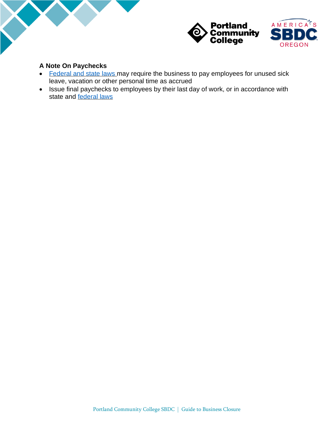



#### **A Note On Paychecks**

- [Federal and state laws m](https://www.oregon.gov/boli/workers/Pages/paychecks.aspx)ay require the business to pay employees for unused sick leave, vacation or other personal time as accrued
- Issue final paychecks to employees by their last day of work, or in accordance with state and [federal laws](https://www.oregon.gov/boli/workers/Pages/paychecks.aspx)